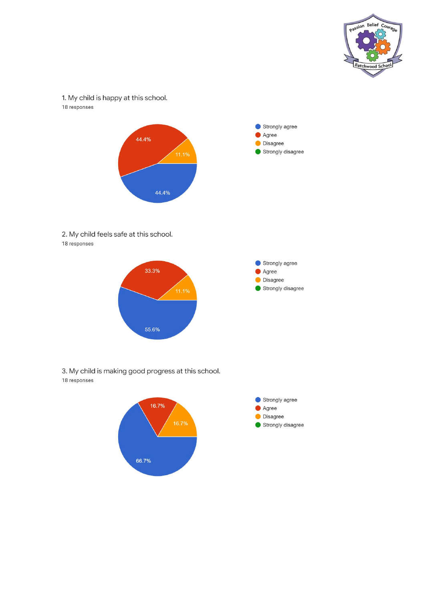

1. My child is happy at this school. 18 responses



2. My child feels safe at this school. 18 responses



3. My child is making good progress at this school. 18 responses

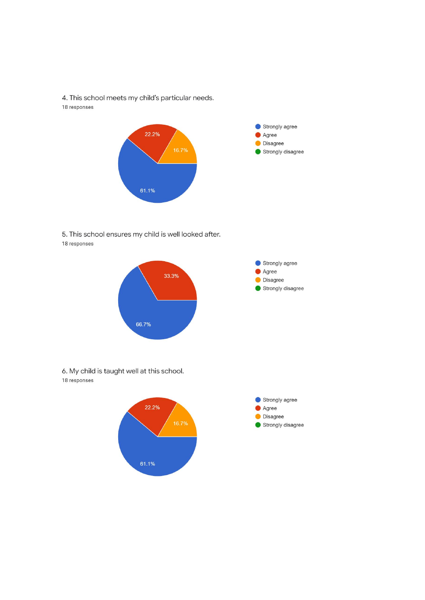4. This school meets my child's particular needs. 18 responses



5. This school ensures my child is well looked after. 18 responses



6. My child is taught well at this school. 18 responses

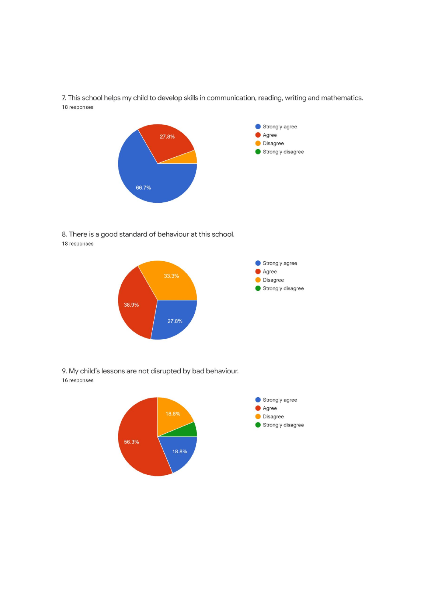7. This school helps my child to develop skills in communication, reading, writing and mathematics. 18 responses



8. There is a good standard of behaviour at this school. 18 responses



9. My child's lessons are not disrupted by bad behaviour. 16 responses

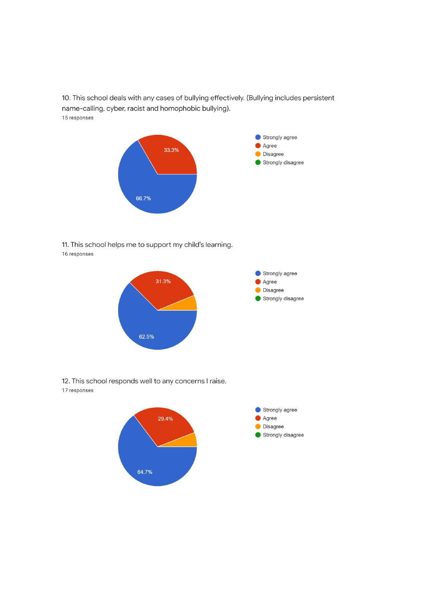10. This school deals with any cases of bullying effectively. (Bullying includes persistent name-calling, cyber, racist and homophobic bullying). 15 responses



11. This school helps me to support my child's learning. 16 responses



12. This school responds well to any concerns I raise. 17 responses

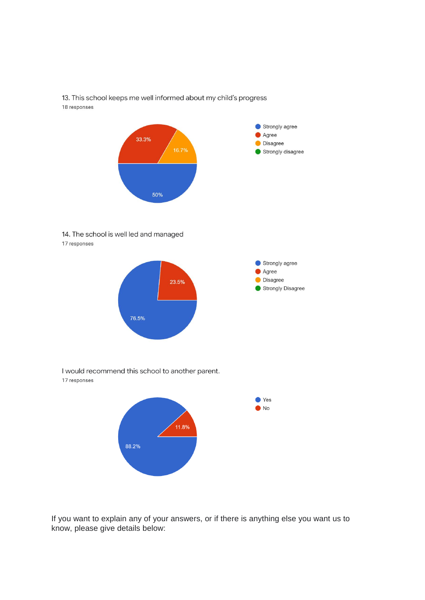

13. This school keeps me well informed about my child's progress 18 responses

14. The school is well led and managed 17 responses



I would recommend this school to another parent. 17 responses



If you want to explain any of your answers, or if there is anything else you want us to know, please give details below: